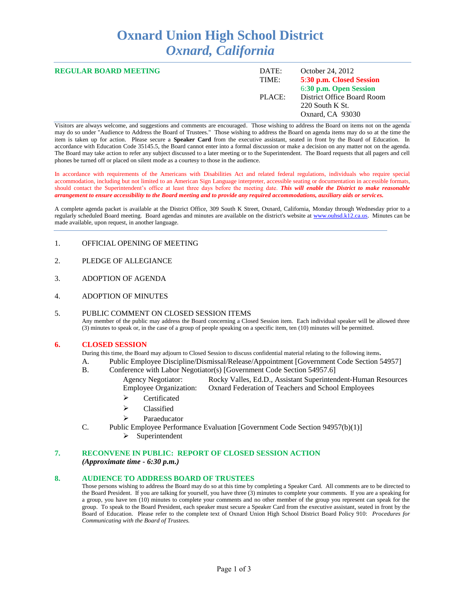# **Oxnard Union High School District** *Oxnard, California*

| <b>REGULAR BOARD MEETING</b> | DATE:<br>TIME: | October 24, 2012<br>5:30 p.m. Closed Session<br>6:30 p.m. Open Session |
|------------------------------|----------------|------------------------------------------------------------------------|
|                              | PLACE:         | District Office Board Room<br>$220$ South K St.<br>Oxnard, CA 93030    |

Visitors are always welcome, and suggestions and comments are encouraged. Those wishing to address the Board on items not on the agenda may do so under "Audience to Address the Board of Trustees." Those wishing to address the Board on agenda items may do so at the time the item is taken up for action. Please secure a **Speaker Card** from the executive assistant, seated in front by the Board of Education. In accordance with Education Code 35145.5, the Board cannot enter into a formal discussion or make a decision on any matter not on the agenda. The Board may take action to refer any subject discussed to a later meeting or to the Superintendent. The Board requests that all pagers and cell phones be turned off or placed on silent mode as a courtesy to those in the audience.

In accordance with requirements of the Americans with Disabilities Act and related federal regulations, individuals who require special accommodation, including but not limited to an American Sign Language interpreter, accessible seating or documentation in accessible formats, should contact the Superintendent's office at least three days before the meeting date. *This will enable the District to make reasonable arrangement to ensure accessibility to the Board meeting and to provide any required accommodations, auxiliary aids or services.* 

A complete agenda packet is available at the District Office, 309 South K Street, Oxnard, California, Monday through Wednesday prior to a regularly scheduled Board meeting. Board agendas and minutes are available on the district's website at [www.ouhsd.k12.ca.us.](http://www.ouhsd.k12.ca.us/)Minutes can be made available, upon request, in another language.

- 1. OFFICIAL OPENING OF MEETING
- 2. PLEDGE OF ALLEGIANCE
- 3. ADOPTION OF AGENDA
- 4. ADOPTION OF MINUTES

#### 5. PUBLIC COMMENT ON CLOSED SESSION ITEMS Any member of the public may address the Board concerning a Closed Session item. Each individual speaker will be allowed three (3) minutes to speak or, in the case of a group of people speaking on a specific item, ten (10) minutes will be permitted.

#### **6. CLOSED SESSION**

During this time, the Board may adjourn to Closed Session to discuss confidential material relating to the following items.

- A. Public Employee Discipline/Dismissal/Release/Appointment [Government Code Section 54957]
- B. Conference with Labor Negotiator(s) [Government Code Section 54957.6]
	- Agency Negotiator: Rocky Valles, Ed.D., Assistant Superintendent-Human Resources Employee Organization: Oxnard Federation of Teachers and School Employees
		- > Certificated
		- > Classified
		- Paraeducator
- C. Public Employee Performance Evaluation [Government Code Section 94957(b)(1)]  $\triangleright$  Superintendent

#### **7. RECONVENE IN PUBLIC: REPORT OF CLOSED SESSION ACTION**

*(Approximate time - 6:30 p.m.)*

#### **8. AUDIENCE TO ADDRESS BOARD OF TRUSTEES**

Those persons wishing to address the Board may do so at this time by completing a Speaker Card. All comments are to be directed to the Board President. If you are talking for yourself, you have three (3) minutes to complete your comments. If you are a speaking for a group, you have ten (10) minutes to complete your comments and no other member of the group you represent can speak for the group. To speak to the Board President, each speaker must secure a Speaker Card from the executive assistant, seated in front by the Board of Education. Please refer to the complete text of Oxnard Union High School District Board Policy 910: *Procedures for Communicating with the Board of Trustees.*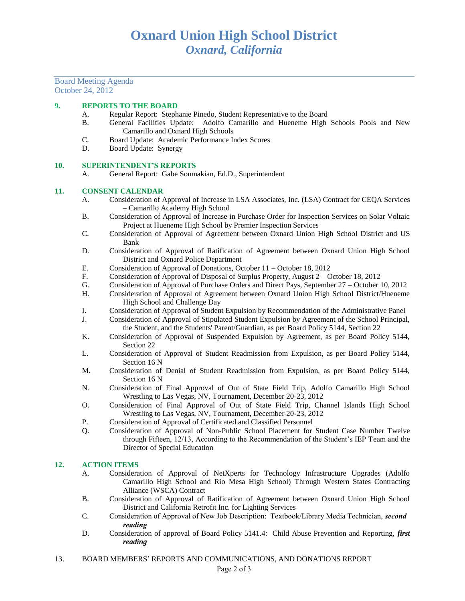Board Meeting Agenda October 24, 2012

#### **9. REPORTS TO THE BOARD**

- A. Regular Report: Stephanie Pinedo, Student Representative to the Board
- B. General Facilities Update: Adolfo Camarillo and Hueneme High Schools Pools and New Camarillo and Oxnard High Schools
- C. Board Update: Academic Performance Index Scores
- D. Board Update: Synergy

#### **10. SUPERINTENDENT'S REPORTS**

A. General Report: Gabe Soumakian, Ed.D., Superintendent

#### **11. CONSENT CALENDAR**

- A. Consideration of Approval of Increase in LSA Associates, Inc. (LSA) Contract for CEQA Services – Camarillo Academy High School
- B. Consideration of Approval of Increase in Purchase Order for Inspection Services on Solar Voltaic Project at Hueneme High School by Premier Inspection Services
- C. Consideration of Approval of Agreement between Oxnard Union High School District and US Bank
- D. Consideration of Approval of Ratification of Agreement between Oxnard Union High School District and Oxnard Police Department
- E. Consideration of Approval of Donations, October 11 October 18, 2012<br>F. Consideration of Approval of Disposal of Surplus Property, August 2 C
- F. Consideration of Approval of Disposal of Surplus Property, August 2 October 18, 2012
- G. Consideration of Approval of Purchase Orders and Direct Pays, September 27 October 10, 2012
- H. Consideration of Approval of Agreement between Oxnard Union High School District/Hueneme High School and Challenge Day
- I. Consideration of Approval of Student Expulsion by Recommendation of the Administrative Panel
- J. Consideration of Approval of Stipulated Student Expulsion by Agreement of the School Principal, the Student, and the Students' Parent/Guardian, as per Board Policy 5144, Section 22
- K. Consideration of Approval of Suspended Expulsion by Agreement, as per Board Policy 5144, Section 22
- L. Consideration of Approval of Student Readmission from Expulsion, as per Board Policy 5144, Section 16 N
- M. Consideration of Denial of Student Readmission from Expulsion, as per Board Policy 5144, Section 16 N
- N. Consideration of Final Approval of Out of State Field Trip, Adolfo Camarillo High School Wrestling to Las Vegas, NV, Tournament, December 20-23, 2012
- O. Consideration of Final Approval of Out of State Field Trip, Channel Islands High School Wrestling to Las Vegas, NV, Tournament, December 20-23, 2012
- P. Consideration of Approval of Certificated and Classified Personnel
- Q. Consideration of Approval of Non-Public School Placement for Student Case Number Twelve through Fifteen, 12/13, According to the Recommendation of the Student's IEP Team and the Director of Special Education

#### **12. ACTION ITEMS**

- A. Consideration of Approval of NetXperts for Technology Infrastructure Upgrades (Adolfo Camarillo High School and Rio Mesa High School) Through Western States Contracting Alliance (WSCA) Contract
- B. Consideration of Approval of Ratification of Agreement between Oxnard Union High School District and California Retrofit Inc. for Lighting Services
- C. Consideration of Approval of New Job Description: Textbook/Library Media Technician, *second reading*
- D. Consideration of approval of Board Policy 5141.4: Child Abuse Prevention and Reporting, *first reading*
- 13. BOARD MEMBERS' REPORTS AND COMMUNICATIONS, AND DONATIONS REPORT